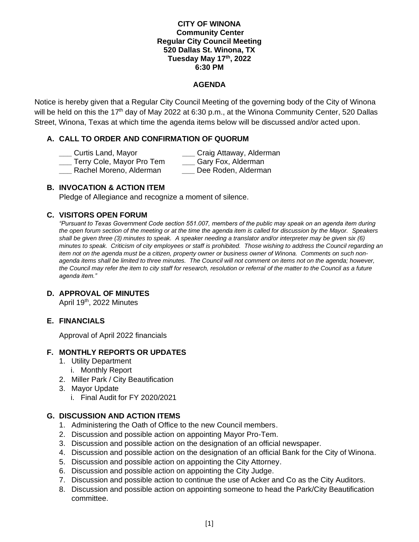#### **CITY OF WINONA Community Center Regular City Council Meeting 520 Dallas St. Winona, TX Tuesday May 17 th, 2022 6:30 PM**

### **AGENDA**

Notice is hereby given that a Regular City Council Meeting of the governing body of the City of Winona will be held on this the 17<sup>th</sup> day of May 2022 at 6:30 p.m., at the Winona Community Center, 520 Dallas Street, Winona, Texas at which time the agenda items below will be discussed and/or acted upon.

# **A. CALL TO ORDER AND CONFIRMATION OF QUORUM**

- 
- **\_\_\_** Curtis Land, Mayor **\_\_\_** Craig Attaway, Alderman
- **\_\_\_** Terry Cole, Mayor Pro Tem **\_\_\_** Gary Fox, Alderman
	-
- **\_\_\_** Rachel Moreno, Alderman **\_\_\_** Dee Roden, Alderman

## **B. INVOCATION & ACTION ITEM**

Pledge of Allegiance and recognize a moment of silence.

### **C. VISITORS OPEN FORUM**

*"Pursuant to Texas Government Code section 551.007, members of the public may speak on an agenda item during the open forum section of the meeting or at the time the agenda item is called for discussion by the Mayor. Speakers shall be given three (3) minutes to speak. A speaker needing a translator and/or interpreter may be given six (6) minutes to speak. Criticism of city employees or staff is prohibited. Those wishing to address the Council regarding an item not on the agenda must be a citizen, property owner or business owner of Winona. Comments on such nonagenda items shall be limited to three minutes. The Council will not comment on items not on the agenda; however, the Council may refer the item to city staff for research, resolution or referral of the matter to the Council as a future agenda item."* 

#### **D. APPROVAL OF MINUTES**

April 19<sup>th</sup>, 2022 Minutes

### **E. FINANCIALS**

Approval of April 2022 financials

#### **F. MONTHLY REPORTS OR UPDATES**

- 1. Utility Department
- i. Monthly Report
- 2. Miller Park / City Beautification
- 3. Mayor Update
	- i. Final Audit for FY 2020/2021

### **G. DISCUSSION AND ACTION ITEMS**

- 1. Administering the Oath of Office to the new Council members.
- 2. Discussion and possible action on appointing Mayor Pro-Tem.
- 3. Discussion and possible action on the designation of an official newspaper.
- 4. Discussion and possible action on the designation of an official Bank for the City of Winona.
- 5. Discussion and possible action on appointing the City Attorney.
- 6. Discussion and possible action on appointing the City Judge.
- 7. Discussion and possible action to continue the use of Acker and Co as the City Auditors.
- 8. Discussion and possible action on appointing someone to head the Park/City Beautification committee.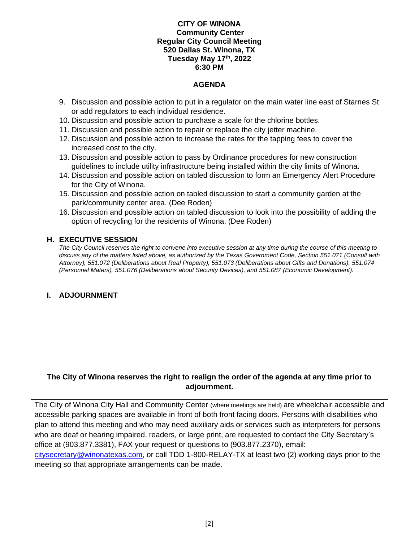#### **CITY OF WINONA Community Center Regular City Council Meeting 520 Dallas St. Winona, TX Tuesday May 17 th, 2022 6:30 PM**

#### **AGENDA**

- 9. Discussion and possible action to put in a regulator on the main water line east of Starnes St or add regulators to each individual residence.
- 10. Discussion and possible action to purchase a scale for the chlorine bottles.
- 11. Discussion and possible action to repair or replace the city jetter machine.
- 12. Discussion and possible action to increase the rates for the tapping fees to cover the increased cost to the city.
- 13. Discussion and possible action to pass by Ordinance procedures for new construction guidelines to include utility infrastructure being installed within the city limits of Winona.
- 14. Discussion and possible action on tabled discussion to form an Emergency Alert Procedure for the City of Winona.
- 15. Discussion and possible action on tabled discussion to start a community garden at the park/community center area. (Dee Roden)
- 16. Discussion and possible action on tabled discussion to look into the possibility of adding the option of recycling for the residents of Winona. (Dee Roden)

### **H. EXECUTIVE SESSION**

*The City Council reserves the right to convene into executive session at any time during the course of this meeting to discuss any of the matters listed above, as authorized by the Texas Government Code, Section 551.071 (Consult with Attorney), 551.072 (Deliberations about Real Property), 551.073 (Deliberations about Gifts and Donations), 551.074 (Personnel Maters), 551.076 (Deliberations about Security Devices), and 551.087 (Economic Development).* 

### **I. ADJOURNMENT**

# **The City of Winona reserves the right to realign the order of the agenda at any time prior to adjournment.**

The City of Winona City Hall and Community Center (where meetings are held) are wheelchair accessible and accessible parking spaces are available in front of both front facing doors. Persons with disabilities who plan to attend this meeting and who may need auxiliary aids or services such as interpreters for persons who are deaf or hearing impaired, readers, or large print, are requested to contact the City Secretary's office at (903.877.3381), FAX your request or questions to (903.877.2370), email: [citysecretary@winonatexas.com,](mailto:citysecretary@winonatexas.com) or call TDD 1-800-RELAY-TX at least two (2) working days prior to the meeting so that appropriate arrangements can be made.